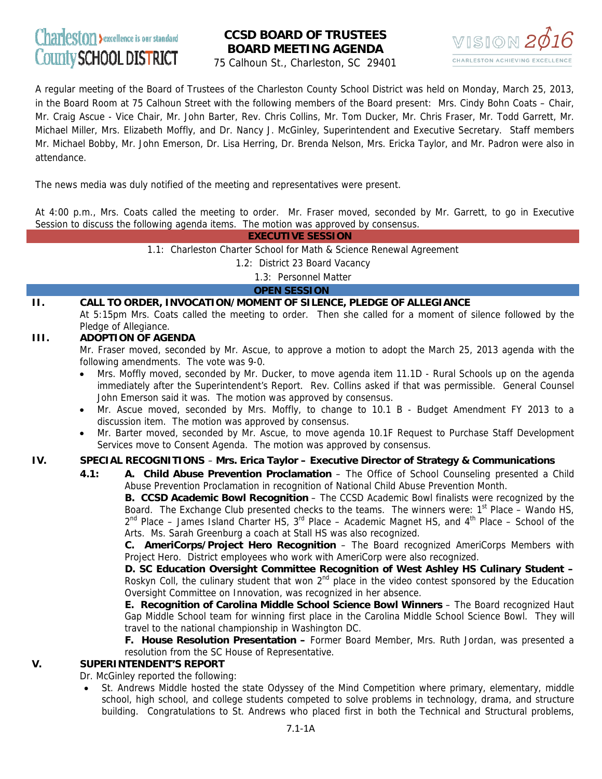# Charleston >excellence is our standard County SCHOOL DISTRICT

## **CCSD BOARD OF TRUSTEES BOARD MEETING AGENDA**



75 Calhoun St., Charleston, SC 29401

A regular meeting of the Board of Trustees of the Charleston County School District was held on Monday, March 25, 2013, in the Board Room at 75 Calhoun Street with the following members of the Board present: Mrs. Cindy Bohn Coats – Chair, Mr. Craig Ascue - Vice Chair, Mr. John Barter, Rev. Chris Collins, Mr. Tom Ducker, Mr. Chris Fraser, Mr. Todd Garrett, Mr. Michael Miller, Mrs. Elizabeth Moffly, and Dr. Nancy J. McGinley, Superintendent and Executive Secretary. Staff members Mr. Michael Bobby, Mr. John Emerson, Dr. Lisa Herring, Dr. Brenda Nelson, Mrs. Ericka Taylor, and Mr. Padron were also in attendance.

The news media was duly notified of the meeting and representatives were present.

At 4:00 p.m., Mrs. Coats called the meeting to order. Mr. Fraser moved, seconded by Mr. Garrett, to go in Executive Session to discuss the following agenda items. The motion was approved by consensus.

 **EXECUTIVE SESSION**

1.1: Charleston Charter School for Math & Science Renewal Agreement

1.2: District 23 Board Vacancy

1.3: Personnel Matter

 **OPEN SESSION** 

## **II. CALL TO ORDER, INVOCATION/MOMENT OF SILENCE, PLEDGE OF ALLEGIANCE**

At 5:15pm Mrs. Coats called the meeting to order. Then she called for a moment of silence followed by the Pledge of Allegiance.

## **III. ADOPTION OF AGENDA**

Mr. Fraser moved, seconded by Mr. Ascue, to approve a motion to adopt the March 25, 2013 agenda with the following amendments. The vote was 9-0.

- Mrs. Moffly moved, seconded by Mr. Ducker, to move agenda item 11.1D Rural Schools up on the agenda immediately after the Superintendent's Report. Rev. Collins asked if that was permissible. General Counsel John Emerson said it was. The motion was approved by consensus.
- Mr. Ascue moved, seconded by Mrs. Moffly, to change to 10.1 B Budget Amendment FY 2013 to a discussion item. The motion was approved by consensus.
- Mr. Barter moved, seconded by Mr. Ascue, to move agenda 10.1F Request to Purchase Staff Development Services move to Consent Agenda. The motion was approved by consensus.

## **IV. SPECIAL RECOGNITIONS** – **Mrs. Erica Taylor – Executive Director of Strategy & Communications**

**4.1: A. Child Abuse Prevention Proclamation** – The Office of School Counseling presented a Child Abuse Prevention Proclamation in recognition of National Child Abuse Prevention Month.

**B. CCSD Academic Bowl Recognition - The CCSD Academic Bowl finalists were recognized by the** Board. The Exchange Club presented checks to the teams. The winners were:  $1<sup>st</sup>$  Place – Wando HS,  $2^{nd}$  Place – James Island Charter HS,  $3^{rd}$  Place – Academic Magnet HS, and  $4^{th}$  Place – School of the Arts. Ms. Sarah Greenburg a coach at Stall HS was also recognized.

 **C. AmeriCorps/Project Hero Recognition** – The Board recognized AmeriCorps Members with Project Hero. District employees who work with AmeriCorp were also recognized.

 **D. SC Education Oversight Committee Recognition of West Ashley HS Culinary Student –**  Roskyn Coll, the culinary student that won  $2<sup>nd</sup>$  place in the video contest sponsored by the Education Oversight Committee on Innovation, was recognized in her absence.

 **E. Recognition of Carolina Middle School Science Bowl Winners** – The Board recognized Haut Gap Middle School team for winning first place in the Carolina Middle School Science Bowl. They will travel to the national championship in Washington DC.

**F. House Resolution Presentation –** Former Board Member, Mrs. Ruth Jordan, was presented a resolution from the SC House of Representative.

## **V. SUPERINTENDENT'S REPORT**

Dr. McGinley reported the following:

• St. Andrews Middle hosted the state Odyssey of the Mind Competition where primary, elementary, middle school, high school, and college students competed to solve problems in technology, drama, and structure building. Congratulations to St. Andrews who placed first in both the Technical and Structural problems,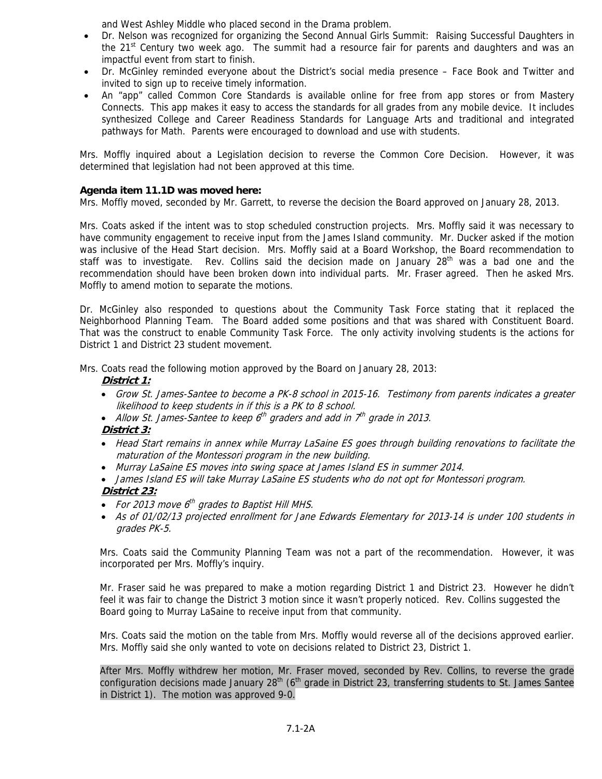and West Ashley Middle who placed second in the Drama problem.

- Dr. Nelson was recognized for organizing the Second Annual Girls Summit: Raising Successful Daughters in the  $21<sup>st</sup>$  Century two week ago. The summit had a resource fair for parents and daughters and was an impactful event from start to finish.
- Dr. McGinley reminded everyone about the District's social media presence Face Book and Twitter and invited to sign up to receive timely information.
- An "app" called Common Core Standards is available online for free from app stores or from Mastery Connects. This app makes it easy to access the standards for all grades from any mobile device. It includes synthesized College and Career Readiness Standards for Language Arts and traditional and integrated pathways for Math. Parents were encouraged to download and use with students.

Mrs. Moffly inquired about a Legislation decision to reverse the Common Core Decision. However, it was determined that legislation had not been approved at this time.

## **Agenda item 11.1D was moved here:**

Mrs. Moffly moved, seconded by Mr. Garrett, to reverse the decision the Board approved on January 28, 2013.

Mrs. Coats asked if the intent was to stop scheduled construction projects. Mrs. Moffly said it was necessary to have community engagement to receive input from the James Island community. Mr. Ducker asked if the motion was inclusive of the Head Start decision. Mrs. Moffly said at a Board Workshop, the Board recommendation to staff was to investigate. Rev. Collins said the decision made on January 28<sup>th</sup> was a bad one and the recommendation should have been broken down into individual parts. Mr. Fraser agreed. Then he asked Mrs. Moffly to amend motion to separate the motions.

Dr. McGinley also responded to questions about the Community Task Force stating that it replaced the Neighborhood Planning Team. The Board added some positions and that was shared with Constituent Board. That was the construct to enable Community Task Force. The only activity involving students is the actions for District 1 and District 23 student movement.

Mrs. Coats read the following motion approved by the Board on January 28, 2013:

#### **District 1:**

- Grow St. James-Santee to become a PK-8 school in 2015-16. Testimony from parents indicates a greater likelihood to keep students in if this is a PK to 8 school.
- Allow St. James-Santee to keep  $6<sup>th</sup>$  graders and add in  $7<sup>th</sup>$  grade in 2013.

## **District 3:**

- Head Start remains in annex while Murray LaSaine ES goes through building renovations to facilitate the maturation of the Montessori program in the new building.
- Murray LaSaine ES moves into swing space at James Island ES in summer 2014.
- James Island ES will take Murray LaSaine ES students who do not opt for Montessori program.

## **District 23:**

- For 2013 move  $6<sup>th</sup>$  grades to Baptist Hill MHS.
- As of 01/02/13 projected enrollment for Jane Edwards Elementary for 2013-14 is under 100 students in grades PK-5.

Mrs. Coats said the Community Planning Team was not a part of the recommendation. However, it was incorporated per Mrs. Moffly's inquiry.

Mr. Fraser said he was prepared to make a motion regarding District 1 and District 23. However he didn't feel it was fair to change the District 3 motion since it wasn't properly noticed. Rev. Collins suggested the Board going to Murray LaSaine to receive input from that community.

Mrs. Coats said the motion on the table from Mrs. Moffly would reverse all of the decisions approved earlier. Mrs. Moffly said she only wanted to vote on decisions related to District 23, District 1.

After Mrs. Moffly withdrew her motion, Mr. Fraser moved, seconded by Rev. Collins, to reverse the grade configuration decisions made January 28<sup>th</sup> (6<sup>th</sup> grade in District 23, transferring students to St. James Santee in District 1). The motion was approved 9-0.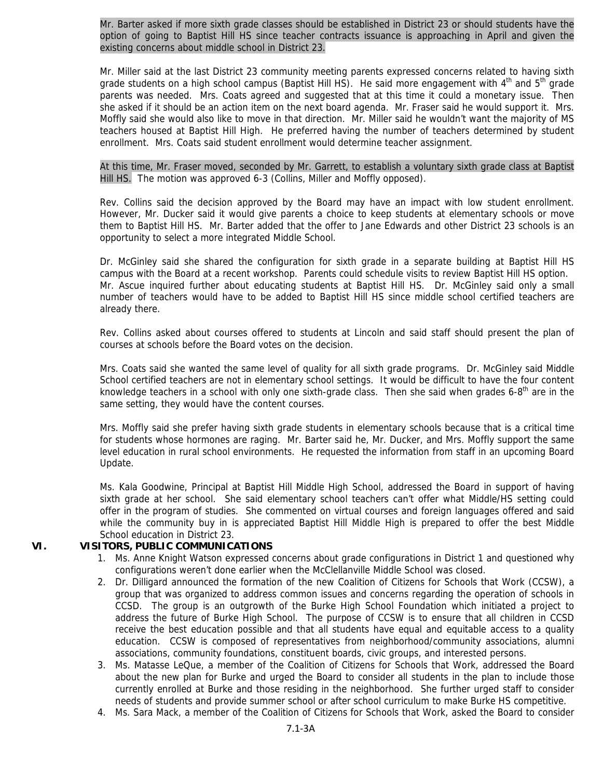Mr. Barter asked if more sixth grade classes should be established in District 23 or should students have the option of going to Baptist Hill HS since teacher contracts issuance is approaching in April and given the existing concerns about middle school in District 23.

Mr. Miller said at the last District 23 community meeting parents expressed concerns related to having sixth grade students on a high school campus (Baptist Hill HS). He said more engagement with  $4<sup>th</sup>$  and  $5<sup>th</sup>$  grade parents was needed. Mrs. Coats agreed and suggested that at this time it could a monetary issue. Then she asked if it should be an action item on the next board agenda. Mr. Fraser said he would support it. Mrs. Moffly said she would also like to move in that direction. Mr. Miller said he wouldn't want the majority of MS teachers housed at Baptist Hill High. He preferred having the number of teachers determined by student enrollment. Mrs. Coats said student enrollment would determine teacher assignment.

At this time, Mr. Fraser moved, seconded by Mr. Garrett, to establish a voluntary sixth grade class at Baptist Hill HS. The motion was approved 6-3 (Collins, Miller and Moffly opposed).

Rev. Collins said the decision approved by the Board may have an impact with low student enrollment. However, Mr. Ducker said it would give parents a choice to keep students at elementary schools or move them to Baptist Hill HS. Mr. Barter added that the offer to Jane Edwards and other District 23 schools is an opportunity to select a more integrated Middle School.

Dr. McGinley said she shared the configuration for sixth grade in a separate building at Baptist Hill HS campus with the Board at a recent workshop. Parents could schedule visits to review Baptist Hill HS option. Mr. Ascue inquired further about educating students at Baptist Hill HS. Dr. McGinley said only a small number of teachers would have to be added to Baptist Hill HS since middle school certified teachers are already there.

Rev. Collins asked about courses offered to students at Lincoln and said staff should present the plan of courses at schools before the Board votes on the decision.

Mrs. Coats said she wanted the same level of quality for all sixth grade programs. Dr. McGinley said Middle School certified teachers are not in elementary school settings. It would be difficult to have the four content knowledge teachers in a school with only one sixth-grade class. Then she said when grades  $6-8<sup>th</sup>$  are in the same setting, they would have the content courses.

Mrs. Moffly said she prefer having sixth grade students in elementary schools because that is a critical time for students whose hormones are raging. Mr. Barter said he, Mr. Ducker, and Mrs. Moffly support the same level education in rural school environments. He requested the information from staff in an upcoming Board Update.

Ms. Kala Goodwine, Principal at Baptist Hill Middle High School, addressed the Board in support of having sixth grade at her school. She said elementary school teachers can't offer what Middle/HS setting could offer in the program of studies. She commented on virtual courses and foreign languages offered and said while the community buy in is appreciated Baptist Hill Middle High is prepared to offer the best Middle School education in District 23.

## **VI. VISITORS, PUBLIC COMMUNICATIONS**

- 1. Ms. Anne Knight Watson expressed concerns about grade configurations in District 1 and questioned why configurations weren't done earlier when the McClellanville Middle School was closed.
- 2. Dr. Dilligard announced the formation of the new Coalition of Citizens for Schools that Work (CCSW), a group that was organized to address common issues and concerns regarding the operation of schools in CCSD. The group is an outgrowth of the Burke High School Foundation which initiated a project to address the future of Burke High School. The purpose of CCSW is to ensure that all children in CCSD receive the best education possible and that all students have equal and equitable access to a quality education. CCSW is composed of representatives from neighborhood/community associations, alumni associations, community foundations, constituent boards, civic groups, and interested persons.
- 3. Ms. Matasse LeQue, a member of the Coalition of Citizens for Schools that Work, addressed the Board about the new plan for Burke and urged the Board to consider all students in the plan to include those currently enrolled at Burke and those residing in the neighborhood. She further urged staff to consider needs of students and provide summer school or after school curriculum to make Burke HS competitive.
- 4. Ms. Sara Mack, a member of the Coalition of Citizens for Schools that Work, asked the Board to consider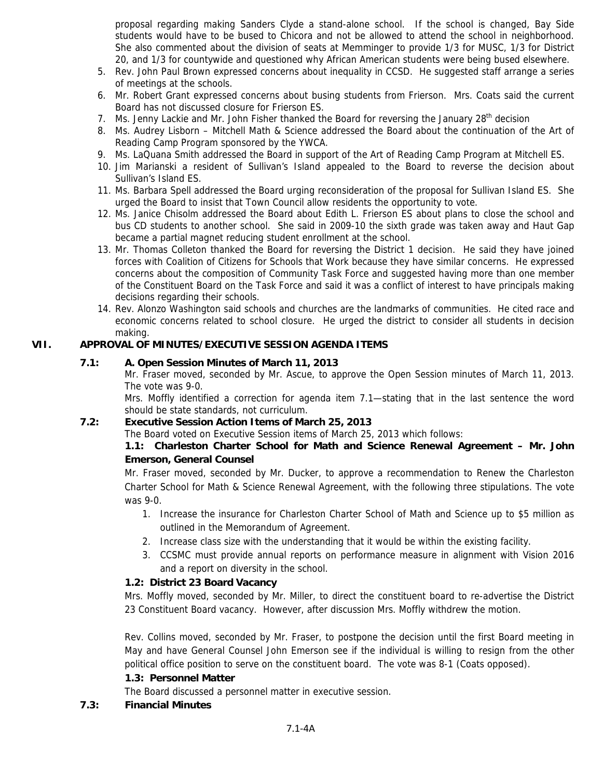proposal regarding making Sanders Clyde a stand-alone school. If the school is changed, Bay Side students would have to be bused to Chicora and not be allowed to attend the school in neighborhood. She also commented about the division of seats at Memminger to provide 1/3 for MUSC, 1/3 for District 20, and 1/3 for countywide and questioned why African American students were being bused elsewhere.

- 5. Rev. John Paul Brown expressed concerns about inequality in CCSD. He suggested staff arrange a series of meetings at the schools.
- 6. Mr. Robert Grant expressed concerns about busing students from Frierson. Mrs. Coats said the current Board has not discussed closure for Frierson ES.
- 7. Ms. Jenny Lackie and Mr. John Fisher thanked the Board for reversing the January  $28<sup>th</sup>$  decision
- 8. Ms. Audrey Lisborn Mitchell Math & Science addressed the Board about the continuation of the Art of Reading Camp Program sponsored by the YWCA.
- 9. Ms. LaQuana Smith addressed the Board in support of the Art of Reading Camp Program at Mitchell ES.
- 10. Jim Marianski a resident of Sullivan's Island appealed to the Board to reverse the decision about Sullivan's Island ES.
- 11. Ms. Barbara Spell addressed the Board urging reconsideration of the proposal for Sullivan Island ES. She urged the Board to insist that Town Council allow residents the opportunity to vote.
- 12. Ms. Janice Chisolm addressed the Board about Edith L. Frierson ES about plans to close the school and bus CD students to another school. She said in 2009-10 the sixth grade was taken away and Haut Gap became a partial magnet reducing student enrollment at the school.
- 13. Mr. Thomas Colleton thanked the Board for reversing the District 1 decision. He said they have joined forces with Coalition of Citizens for Schools that Work because they have similar concerns. He expressed concerns about the composition of Community Task Force and suggested having more than one member of the Constituent Board on the Task Force and said it was a conflict of interest to have principals making decisions regarding their schools.
- 14. Rev. Alonzo Washington said schools and churches are the landmarks of communities. He cited race and economic concerns related to school closure. He urged the district to consider all students in decision making.

## **VII. APPROVAL OF MINUTES/EXECUTIVE SESSION AGENDA ITEMS**

## **7.1: A. Open Session Minutes of March 11, 2013**

Mr. Fraser moved, seconded by Mr. Ascue, to approve the Open Session minutes of March 11, 2013. The vote was 9-0.

Mrs. Moffly identified a correction for agenda item 7.1—stating that in the last sentence the word should be state standards, not curriculum.

## **7.2: Executive Session Action Items of March 25, 2013**

The Board voted on Executive Session items of March 25, 2013 which follows:

## **1.1: Charleston Charter School for Math and Science Renewal Agreement – Mr. John Emerson, General Counsel**

Mr. Fraser moved, seconded by Mr. Ducker, to approve a recommendation to Renew the Charleston Charter School for Math & Science Renewal Agreement, with the following three stipulations. The vote was 9-0.

- 1. Increase the insurance for Charleston Charter School of Math and Science up to \$5 million as outlined in the Memorandum of Agreement.
- 2. Increase class size with the understanding that it would be within the existing facility.
- 3. CCSMC must provide annual reports on performance measure in alignment with Vision 2016 and a report on diversity in the school.

## **1.2: District 23 Board Vacancy**

Mrs. Moffly moved, seconded by Mr. Miller, to direct the constituent board to re-advertise the District 23 Constituent Board vacancy. However, after discussion Mrs. Moffly withdrew the motion.

Rev. Collins moved, seconded by Mr. Fraser, to postpone the decision until the first Board meeting in May and have General Counsel John Emerson see if the individual is willing to resign from the other political office position to serve on the constituent board. The vote was 8-1 (Coats opposed).

## **1.3: Personnel Matter**

The Board discussed a personnel matter in executive session.

**7.3: Financial Minutes**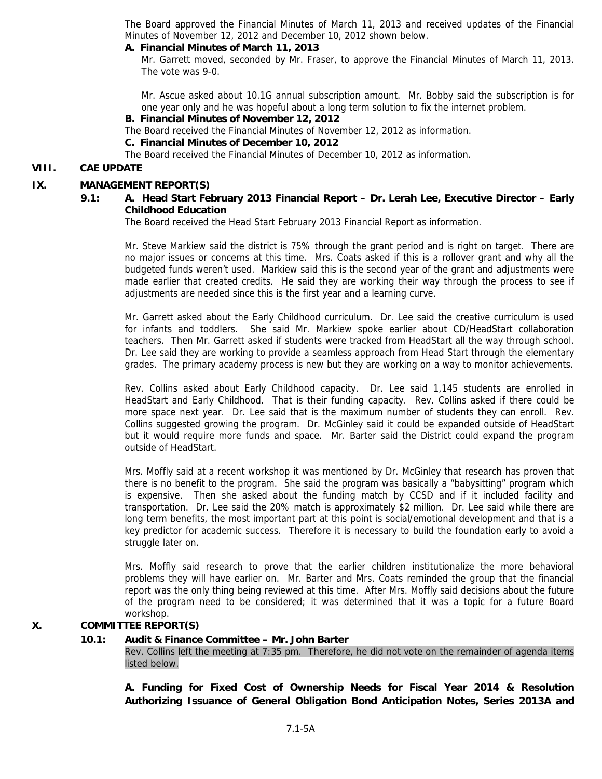The Board approved the Financial Minutes of March 11, 2013 and received updates of the Financial Minutes of November 12, 2012 and December 10, 2012 shown below.

## **A. Financial Minutes of March 11, 2013**

Mr. Garrett moved, seconded by Mr. Fraser, to approve the Financial Minutes of March 11, 2013. The vote was 9-0.

Mr. Ascue asked about 10.1G annual subscription amount. Mr. Bobby said the subscription is for one year only and he was hopeful about a long term solution to fix the internet problem.

#### **B. Financial Minutes of November 12, 2012**

The Board received the Financial Minutes of November 12, 2012 as information.

 **C. Financial Minutes of December 10, 2012**

The Board received the Financial Minutes of December 10, 2012 as information.

## **VIII. CAE UPDATE**

## **IX. MANAGEMENT REPORT(S)**

## **9.1: A. Head Start February 2013 Financial Report – Dr. Lerah Lee, Executive Director – Early Childhood Education**

The Board received the Head Start February 2013 Financial Report as information.

Mr. Steve Markiew said the district is 75% through the grant period and is right on target. There are no major issues or concerns at this time. Mrs. Coats asked if this is a rollover grant and why all the budgeted funds weren't used. Markiew said this is the second year of the grant and adjustments were made earlier that created credits. He said they are working their way through the process to see if adjustments are needed since this is the first year and a learning curve.

Mr. Garrett asked about the Early Childhood curriculum. Dr. Lee said the creative curriculum is used for infants and toddlers. She said Mr. Markiew spoke earlier about CD/HeadStart collaboration teachers. Then Mr. Garrett asked if students were tracked from HeadStart all the way through school. Dr. Lee said they are working to provide a seamless approach from Head Start through the elementary grades. The primary academy process is new but they are working on a way to monitor achievements.

Rev. Collins asked about Early Childhood capacity. Dr. Lee said 1,145 students are enrolled in HeadStart and Early Childhood. That is their funding capacity. Rev. Collins asked if there could be more space next year. Dr. Lee said that is the maximum number of students they can enroll. Rev. Collins suggested growing the program. Dr. McGinley said it could be expanded outside of HeadStart but it would require more funds and space. Mr. Barter said the District could expand the program outside of HeadStart.

Mrs. Moffly said at a recent workshop it was mentioned by Dr. McGinley that research has proven that there is no benefit to the program. She said the program was basically a "babysitting" program which is expensive. Then she asked about the funding match by CCSD and if it included facility and transportation. Dr. Lee said the 20% match is approximately \$2 million. Dr. Lee said while there are long term benefits, the most important part at this point is social/emotional development and that is a key predictor for academic success. Therefore it is necessary to build the foundation early to avoid a struggle later on.

Mrs. Moffly said research to prove that the earlier children institutionalize the more behavioral problems they will have earlier on. Mr. Barter and Mrs. Coats reminded the group that the financial report was the only thing being reviewed at this time. After Mrs. Moffly said decisions about the future of the program need to be considered; it was determined that it was a topic for a future Board workshop.

## **X. COMMITTEE REPORT(S)**

#### **10.1: Audit & Finance Committee – Mr. John Barter**

Rev. Collins left the meeting at 7:35 pm. Therefore, he did not vote on the remainder of agenda items listed below.

 **A. Funding for Fixed Cost of Ownership Needs for Fiscal Year 2014 & Resolution Authorizing Issuance of General Obligation Bond Anticipation Notes, Series 2013A and**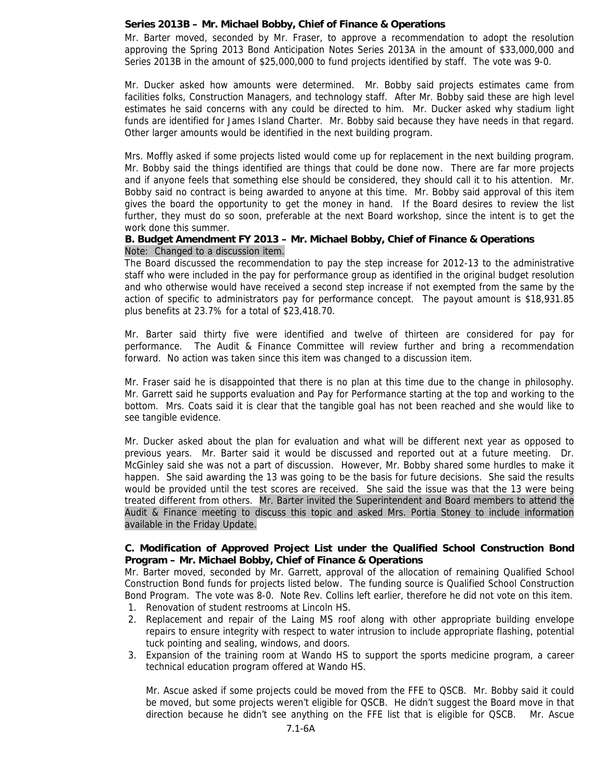#### **Series 2013B – Mr. Michael Bobby, Chief of Finance & Operations**

Mr. Barter moved, seconded by Mr. Fraser, to approve a recommendation to adopt the resolution approving the Spring 2013 Bond Anticipation Notes Series 2013A in the amount of \$33,000,000 and Series 2013B in the amount of \$25,000,000 to fund projects identified by staff. The vote was 9-0.

Mr. Ducker asked how amounts were determined. Mr. Bobby said projects estimates came from facilities folks, Construction Managers, and technology staff. After Mr. Bobby said these are high level estimates he said concerns with any could be directed to him. Mr. Ducker asked why stadium light funds are identified for James Island Charter. Mr. Bobby said because they have needs in that regard. Other larger amounts would be identified in the next building program.

Mrs. Moffly asked if some projects listed would come up for replacement in the next building program. Mr. Bobby said the things identified are things that could be done now. There are far more projects and if anyone feels that something else should be considered, they should call it to his attention. Mr. Bobby said no contract is being awarded to anyone at this time. Mr. Bobby said approval of this item gives the board the opportunity to get the money in hand. If the Board desires to review the list further, they must do so soon, preferable at the next Board workshop, since the intent is to get the work done this summer.

#### **B. Budget Amendment FY 2013 – Mr. Michael Bobby, Chief of Finance & Operations**  Note: Changed to a discussion item.

The Board discussed the recommendation to pay the step increase for 2012-13 to the administrative staff who were included in the pay for performance group as identified in the original budget resolution and who otherwise would have received a second step increase if not exempted from the same by the action of specific to administrators pay for performance concept. The payout amount is \$18,931.85 plus benefits at 23.7% for a total of \$23,418.70.

Mr. Barter said thirty five were identified and twelve of thirteen are considered for pay for performance. The Audit & Finance Committee will review further and bring a recommendation forward. No action was taken since this item was changed to a discussion item.

Mr. Fraser said he is disappointed that there is no plan at this time due to the change in philosophy. Mr. Garrett said he supports evaluation and Pay for Performance starting at the top and working to the bottom. Mrs. Coats said it is clear that the tangible goal has not been reached and she would like to see tangible evidence.

Mr. Ducker asked about the plan for evaluation and what will be different next year as opposed to previous years. Mr. Barter said it would be discussed and reported out at a future meeting. Dr. McGinley said she was not a part of discussion. However, Mr. Bobby shared some hurdles to make it happen. She said awarding the 13 was going to be the basis for future decisions. She said the results would be provided until the test scores are received. She said the issue was that the 13 were being treated different from others. Mr. Barter invited the Superintendent and Board members to attend the Audit & Finance meeting to discuss this topic and asked Mrs. Portia Stoney to include information available in the Friday Update.

#### **C. Modification of Approved Project List under the Qualified School Construction Bond Program – Mr. Michael Bobby, Chief of Finance & Operations**

Mr. Barter moved, seconded by Mr. Garrett, approval of the allocation of remaining Qualified School Construction Bond funds for projects listed below. The funding source is Qualified School Construction Bond Program. The vote was 8-0. Note Rev. Collins left earlier, therefore he did not vote on this item.

- 1. Renovation of student restrooms at Lincoln HS.
- 2. Replacement and repair of the Laing MS roof along with other appropriate building envelope repairs to ensure integrity with respect to water intrusion to include appropriate flashing, potential tuck pointing and sealing, windows, and doors.
- 3. Expansion of the training room at Wando HS to support the sports medicine program, a career technical education program offered at Wando HS.

Mr. Ascue asked if some projects could be moved from the FFE to QSCB. Mr. Bobby said it could be moved, but some projects weren't eligible for QSCB. He didn't suggest the Board move in that direction because he didn't see anything on the FFE list that is eligible for QSCB. Mr. Ascue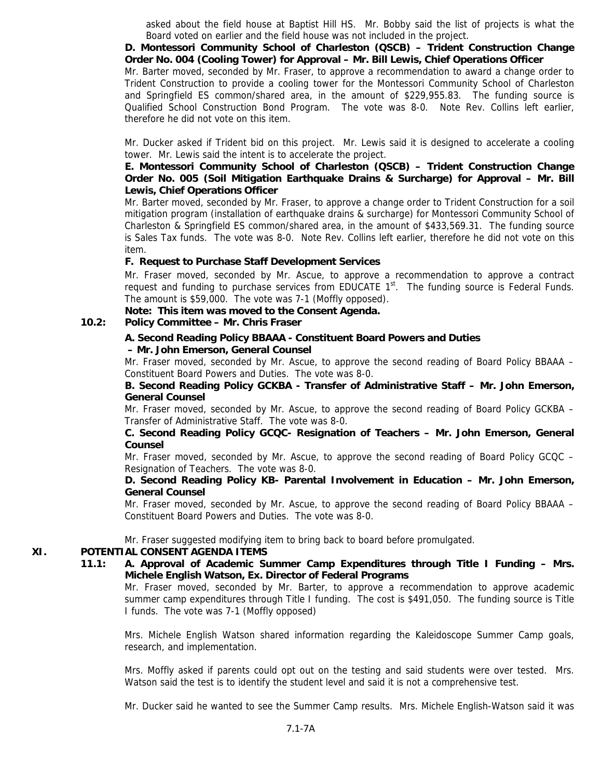asked about the field house at Baptist Hill HS. Mr. Bobby said the list of projects is what the Board voted on earlier and the field house was not included in the project.

 **D. Montessori Community School of Charleston (QSCB) – Trident Construction Change Order No. 004 (Cooling Tower) for Approval – Mr. Bill Lewis, Chief Operations Officer** 

Mr. Barter moved, seconded by Mr. Fraser, to approve a recommendation to award a change order to Trident Construction to provide a cooling tower for the Montessori Community School of Charleston and Springfield ES common/shared area, in the amount of \$229,955.83. The funding source is Qualified School Construction Bond Program. The vote was 8-0. Note Rev. Collins left earlier, therefore he did not vote on this item.

Mr. Ducker asked if Trident bid on this project. Mr. Lewis said it is designed to accelerate a cooling tower. Mr. Lewis said the intent is to accelerate the project.

## **E. Montessori Community School of Charleston (QSCB) – Trident Construction Change Order No. 005 (Soil Mitigation Earthquake Drains & Surcharge) for Approval – Mr. Bill Lewis, Chief Operations Officer**

Mr. Barter moved, seconded by Mr. Fraser, to approve a change order to Trident Construction for a soil mitigation program (installation of earthquake drains & surcharge) for Montessori Community School of Charleston & Springfield ES common/shared area, in the amount of \$433,569.31. The funding source is Sales Tax funds. The vote was 8-0. Note Rev. Collins left earlier, therefore he did not vote on this item.

## **F. Request to Purchase Staff Development Services**

Mr. Fraser moved, seconded by Mr. Ascue, to approve a recommendation to approve a contract request and funding to purchase services from EDUCATE  $1<sup>st</sup>$ . The funding source is Federal Funds. The amount is \$59,000. The vote was 7-1 (Moffly opposed).

## **Note: This item was moved to the Consent Agenda.**

## **10.2: Policy Committee – Mr. Chris Fraser**

#### **A. Second Reading Policy BBAAA - Constituent Board Powers and Duties – Mr. John Emerson, General Counsel**

Mr. Fraser moved, seconded by Mr. Ascue, to approve the second reading of Board Policy BBAAA – Constituent Board Powers and Duties. The vote was 8-0.

#### **B. Second Reading Policy GCKBA - Transfer of Administrative Staff – Mr. John Emerson, General Counsel**

Mr. Fraser moved, seconded by Mr. Ascue, to approve the second reading of Board Policy GCKBA – Transfer of Administrative Staff. The vote was 8-0.

## **C. Second Reading Policy GCQC- Resignation of Teachers – Mr. John Emerson, General Counsel**

Mr. Fraser moved, seconded by Mr. Ascue, to approve the second reading of Board Policy GCQC – Resignation of Teachers. The vote was 8-0.

#### **D. Second Reading Policy KB- Parental Involvement in Education – Mr. John Emerson, General Counsel**

Mr. Fraser moved, seconded by Mr. Ascue, to approve the second reading of Board Policy BBAAA – Constituent Board Powers and Duties. The vote was 8-0.

Mr. Fraser suggested modifying item to bring back to board before promulgated.

## **XI. POTENTIAL CONSENT AGENDA ITEMS**

## **11.1: A. Approval of Academic Summer Camp Expenditures through Title I Funding – Mrs. Michele English Watson, Ex. Director of Federal Programs**

Mr. Fraser moved, seconded by Mr. Barter, to approve a recommendation to approve academic summer camp expenditures through Title I funding. The cost is \$491,050. The funding source is Title I funds. The vote was 7-1 (Moffly opposed)

Mrs. Michele English Watson shared information regarding the Kaleidoscope Summer Camp goals, research, and implementation.

Mrs. Moffly asked if parents could opt out on the testing and said students were over tested. Mrs. Watson said the test is to identify the student level and said it is not a comprehensive test.

Mr. Ducker said he wanted to see the Summer Camp results. Mrs. Michele English-Watson said it was